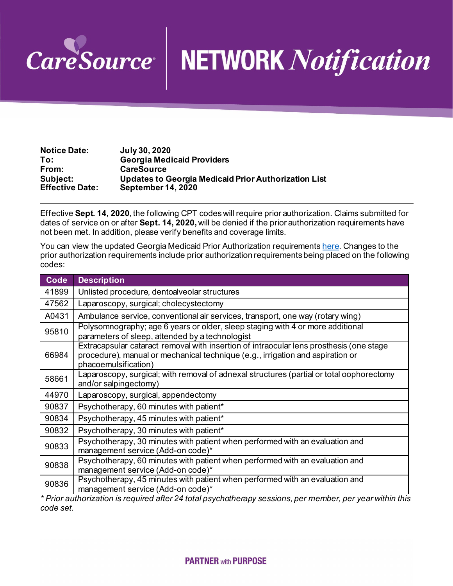

## CareSource NETWORK Notification

| <b>Notice Date:</b>    | <b>July 30, 2020</b>                                        |
|------------------------|-------------------------------------------------------------|
| To:                    | <b>Georgia Medicaid Providers</b>                           |
| From:                  | <b>CareSource</b>                                           |
| Subject:               | <b>Updates to Georgia Medicaid Prior Authorization List</b> |
| <b>Effective Date:</b> | <b>September 14, 2020</b>                                   |

Effective **Sept. 14, 2020**, the following CPT codes will require prior authorization. Claims submitted for dates of service on or after **Sept. 14, 2020,** will be denied if the prior authorization requirements have not been met. In addition, please verify benefits and coverage limits.

You can view the updated Georgia Medicaid Prior Authorization requirement[s here](https://www.caresource.com/ga/providers/provider-portal/prior-authorization/medicaid/). Changes to the prior authorization requirements include prior authorization requirements being placed on the following codes:

| Ambulance service, conventional air services, transport, one way (rotary wing)                                                                                                            |
|-------------------------------------------------------------------------------------------------------------------------------------------------------------------------------------------|
|                                                                                                                                                                                           |
|                                                                                                                                                                                           |
|                                                                                                                                                                                           |
| Polysomnography; age 6 years or older, sleep staging with 4 or more additional                                                                                                            |
| Extracapsular cataract removal with insertion of intraocular lens prosthesis (one stage<br>procedure), manual or mechanical technique (e.g., irrigation and aspiration or                 |
| Laparoscopy, surgical; with removal of adnexal structures (partial or total oophorectomy                                                                                                  |
|                                                                                                                                                                                           |
|                                                                                                                                                                                           |
|                                                                                                                                                                                           |
|                                                                                                                                                                                           |
| Psychotherapy, 30 minutes with patient when performed with an evaluation and                                                                                                              |
| Psychotherapy, 60 minutes with patient when performed with an evaluation and                                                                                                              |
| Psychotherapy, 45 minutes with patient when performed with an evaluation and<br>* Prior authorization is required after 24 total nsychotherany sessions, ner member, ner vear within this |
|                                                                                                                                                                                           |

*\* Prior authorization is required after 24 total psychotherapy sessions, per member, per year within this code set.*